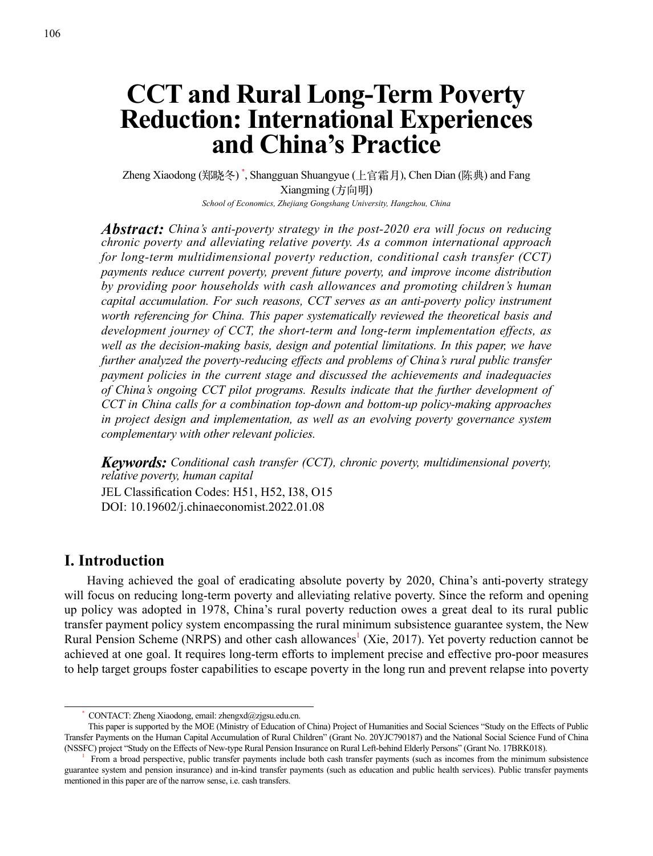# **CCT and Rural Long-Term Poverty Reduction: International Experiences and China's Practice**

Zheng Xiaodong (郑晓冬) \* , Shangguan Shuangyue (上官霜月), Chen Dian (陈典) and Fang Xiangming (方向明) *School of Economics, Zhejiang Gongshang University, Hangzhou, China*

*Abstract: China's anti-poverty strategy in the post-2020 era will focus on reducing chronic poverty and alleviating relative poverty. As a common international approach for long-term multidimensional poverty reduction, conditional cash transfer (CCT) payments reduce current poverty, prevent future poverty, and improve income distribution by providing poor households with cash allowances and promoting children's human capital accumulation. For such reasons, CCT serves as an anti-poverty policy instrument worth referencing for China. This paper systematically reviewed the theoretical basis and development journey of CCT, the short-term and long-term implementation effects, as well as the decision-making basis, design and potential limitations. In this paper, we have further analyzed the poverty-reducing effects and problems of China's rural public transfer payment policies in the current stage and discussed the achievements and inadequacies of China's ongoing CCT pilot programs. Results indicate that the further development of CCT in China calls for a combination top-down and bottom-up policy-making approaches in project design and implementation, as well as an evolving poverty governance system complementary with other relevant policies.*

*Keywords: Conditional cash transfer (CCT), chronic poverty, multidimensional poverty, relative poverty, human capital* JEL Classification Codes: H51, H52, I38, O15 DOI: 10.19602/j.chinaeconomist.2022.01.08

## **I. Introduction**

Having achieved the goal of eradicating absolute poverty by 2020, China's anti-poverty strategy will focus on reducing long-term poverty and alleviating relative poverty. Since the reform and opening up policy was adopted in 1978, China's rural poverty reduction owes a great deal to its rural public transfer payment policy system encompassing the rural minimum subsistence guarantee system, the New Rural Pension Scheme (NRPS) and other cash allowances<sup>1</sup> (Xie, 2017). Yet poverty reduction cannot be achieved at one goal. It requires long-term efforts to implement precise and effective pro-poor measures to help target groups foster capabilities to escape poverty in the long run and prevent relapse into poverty

<sup>\*</sup> CONTACT: Zheng Xiaodong, email: zhengxd@zjgsu.edu.cn.

This paper is supported by the MOE (Ministry of Education of China) Project of Humanities and Social Sciences "Study on the Effects of Public Transfer Payments on the Human Capital Accumulation of Rural Children" (Grant No. 20YJC790187) and the National Social Science Fund of China (NSSFC) project "Study on the Effects of New-type Rural Pension Insurance on Rural Left-behind Elderly Persons" (Grant No. 17BRK018).

<sup>1</sup> From a broad perspective, public transfer payments include both cash transfer payments (such as incomes from the minimum subsistence guarantee system and pension insurance) and in-kind transfer payments (such as education and public health services). Public transfer payments mentioned in this paper are of the narrow sense, i.e. cash transfers.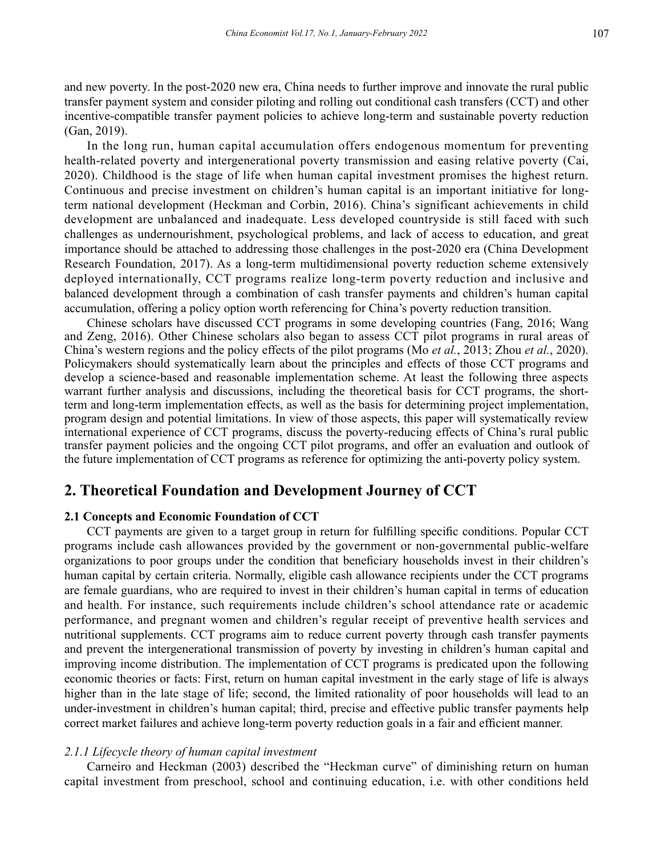and new poverty. In the post-2020 new era, China needs to further improve and innovate the rural public transfer payment system and consider piloting and rolling out conditional cash transfers (CCT) and other incentive-compatible transfer payment policies to achieve long-term and sustainable poverty reduction (Gan, 2019).

In the long run, human capital accumulation offers endogenous momentum for preventing health-related poverty and intergenerational poverty transmission and easing relative poverty (Cai, 2020). Childhood is the stage of life when human capital investment promises the highest return. Continuous and precise investment on children's human capital is an important initiative for longterm national development (Heckman and Corbin, 2016). China's significant achievements in child development are unbalanced and inadequate. Less developed countryside is still faced with such challenges as undernourishment, psychological problems, and lack of access to education, and great importance should be attached to addressing those challenges in the post-2020 era (China Development Research Foundation, 2017). As a long-term multidimensional poverty reduction scheme extensively deployed internationally, CCT programs realize long-term poverty reduction and inclusive and balanced development through a combination of cash transfer payments and children's human capital accumulation, offering a policy option worth referencing for China's poverty reduction transition.

Chinese scholars have discussed CCT programs in some developing countries (Fang, 2016; Wang and Zeng, 2016). Other Chinese scholars also began to assess CCT pilot programs in rural areas of China's western regions and the policy effects of the pilot programs (Mo *et al.*, 2013; Zhou *et al.*, 2020). Policymakers should systematically learn about the principles and effects of those CCT programs and develop a science-based and reasonable implementation scheme. At least the following three aspects warrant further analysis and discussions, including the theoretical basis for CCT programs, the shortterm and long-term implementation effects, as well as the basis for determining project implementation, program design and potential limitations. In view of those aspects, this paper will systematically review international experience of CCT programs, discuss the poverty-reducing effects of China's rural public transfer payment policies and the ongoing CCT pilot programs, and offer an evaluation and outlook of the future implementation of CCT programs as reference for optimizing the anti-poverty policy system.

## **2. Theoretical Foundation and Development Journey of CCT**

### **2.1 Concepts and Economic Foundation of CCT**

CCT payments are given to a target group in return for fulfilling specific conditions. Popular CCT programs include cash allowances provided by the government or non-governmental public-welfare organizations to poor groups under the condition that beneficiary households invest in their children's human capital by certain criteria. Normally, eligible cash allowance recipients under the CCT programs are female guardians, who are required to invest in their children's human capital in terms of education and health. For instance, such requirements include children's school attendance rate or academic performance, and pregnant women and children's regular receipt of preventive health services and nutritional supplements. CCT programs aim to reduce current poverty through cash transfer payments and prevent the intergenerational transmission of poverty by investing in children's human capital and improving income distribution. The implementation of CCT programs is predicated upon the following economic theories or facts: First, return on human capital investment in the early stage of life is always higher than in the late stage of life; second, the limited rationality of poor households will lead to an under-investment in children's human capital; third, precise and effective public transfer payments help correct market failures and achieve long-term poverty reduction goals in a fair and efficient manner.

### *2.1.1 Lifecycle theory of human capital investment*

Carneiro and Heckman (2003) described the "Heckman curve" of diminishing return on human capital investment from preschool, school and continuing education, i.e. with other conditions held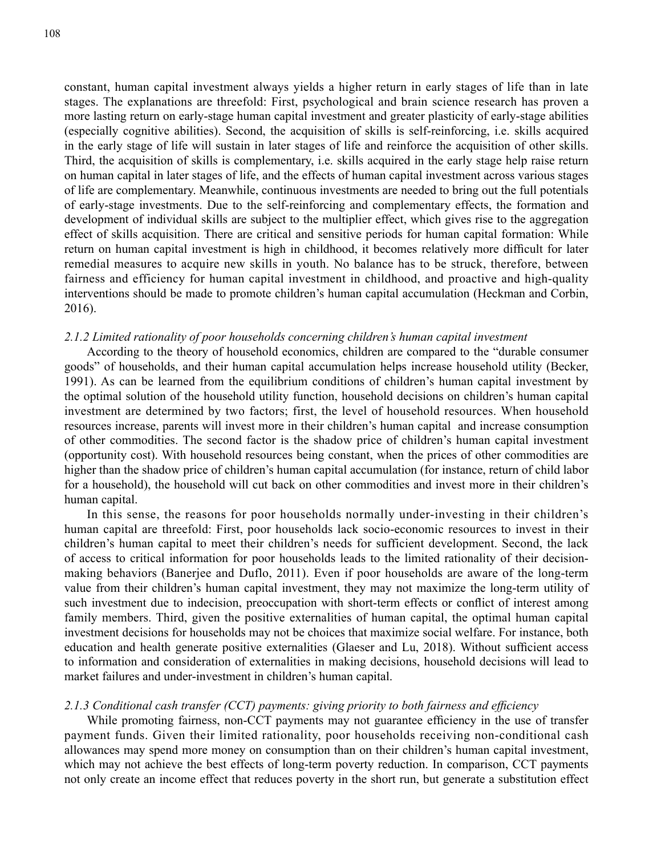constant, human capital investment always yields a higher return in early stages of life than in late stages. The explanations are threefold: First, psychological and brain science research has proven a more lasting return on early-stage human capital investment and greater plasticity of early-stage abilities (especially cognitive abilities). Second, the acquisition of skills is self-reinforcing, i.e. skills acquired in the early stage of life will sustain in later stages of life and reinforce the acquisition of other skills. Third, the acquisition of skills is complementary, i.e. skills acquired in the early stage help raise return on human capital in later stages of life, and the effects of human capital investment across various stages of life are complementary. Meanwhile, continuous investments are needed to bring out the full potentials of early-stage investments. Due to the self-reinforcing and complementary effects, the formation and development of individual skills are subject to the multiplier effect, which gives rise to the aggregation effect of skills acquisition. There are critical and sensitive periods for human capital formation: While return on human capital investment is high in childhood, it becomes relatively more difficult for later remedial measures to acquire new skills in youth. No balance has to be struck, therefore, between fairness and efficiency for human capital investment in childhood, and proactive and high-quality interventions should be made to promote children's human capital accumulation (Heckman and Corbin, 2016).

### *2.1.2 Limited rationality of poor households concerning children's human capital investment*

According to the theory of household economics, children are compared to the "durable consumer goods" of households, and their human capital accumulation helps increase household utility (Becker, 1991). As can be learned from the equilibrium conditions of children's human capital investment by the optimal solution of the household utility function, household decisions on children's human capital investment are determined by two factors; first, the level of household resources. When household resources increase, parents will invest more in their children's human capital and increase consumption of other commodities. The second factor is the shadow price of children's human capital investment (opportunity cost). With household resources being constant, when the prices of other commodities are higher than the shadow price of children's human capital accumulation (for instance, return of child labor for a household), the household will cut back on other commodities and invest more in their children's human capital.

In this sense, the reasons for poor households normally under-investing in their children's human capital are threefold: First, poor households lack socio-economic resources to invest in their children's human capital to meet their children's needs for sufficient development. Second, the lack of access to critical information for poor households leads to the limited rationality of their decisionmaking behaviors (Banerjee and Duflo, 2011). Even if poor households are aware of the long-term value from their children's human capital investment, they may not maximize the long-term utility of such investment due to indecision, preoccupation with short-term effects or conflict of interest among family members. Third, given the positive externalities of human capital, the optimal human capital investment decisions for households may not be choices that maximize social welfare. For instance, both education and health generate positive externalities (Glaeser and Lu, 2018). Without sufficient access to information and consideration of externalities in making decisions, household decisions will lead to market failures and under-investment in children's human capital.

#### *2.1.3 Conditional cash transfer (CCT) payments: giving priority to both fairness and efficiency*

While promoting fairness, non-CCT payments may not guarantee efficiency in the use of transfer payment funds. Given their limited rationality, poor households receiving non-conditional cash allowances may spend more money on consumption than on their children's human capital investment, which may not achieve the best effects of long-term poverty reduction. In comparison, CCT payments not only create an income effect that reduces poverty in the short run, but generate a substitution effect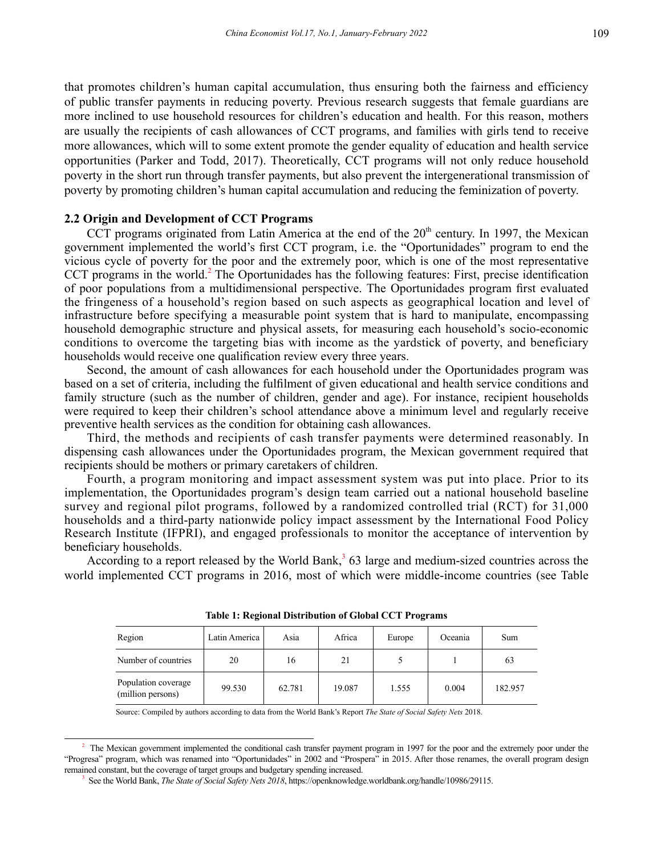that promotes children's human capital accumulation, thus ensuring both the fairness and efficiency of public transfer payments in reducing poverty. Previous research suggests that female guardians are more inclined to use household resources for children's education and health. For this reason, mothers are usually the recipients of cash allowances of CCT programs, and families with girls tend to receive more allowances, which will to some extent promote the gender equality of education and health service opportunities (Parker and Todd, 2017). Theoretically, CCT programs will not only reduce household poverty in the short run through transfer payments, but also prevent the intergenerational transmission of poverty by promoting children's human capital accumulation and reducing the feminization of poverty.

### **2.2 Origin and Development of CCT Programs**

CCT programs originated from Latin America at the end of the  $20<sup>th</sup>$  century. In 1997, the Mexican government implemented the world's first CCT program, i.e. the "Oportunidades" program to end the vicious cycle of poverty for the poor and the extremely poor, which is one of the most representative CCT programs in the world.<sup>2</sup> The Oportunidades has the following features: First, precise identification of poor populations from a multidimensional perspective. The Oportunidades program first evaluated the fringeness of a household's region based on such aspects as geographical location and level of infrastructure before specifying a measurable point system that is hard to manipulate, encompassing household demographic structure and physical assets, for measuring each household's socio-economic conditions to overcome the targeting bias with income as the yardstick of poverty, and beneficiary households would receive one qualification review every three years.

Second, the amount of cash allowances for each household under the Oportunidades program was based on a set of criteria, including the fulfilment of given educational and health service conditions and family structure (such as the number of children, gender and age). For instance, recipient households were required to keep their children's school attendance above a minimum level and regularly receive preventive health services as the condition for obtaining cash allowances.

Third, the methods and recipients of cash transfer payments were determined reasonably. In dispensing cash allowances under the Oportunidades program, the Mexican government required that recipients should be mothers or primary caretakers of children.

Fourth, a program monitoring and impact assessment system was put into place. Prior to its implementation, the Oportunidades program's design team carried out a national household baseline survey and regional pilot programs, followed by a randomized controlled trial (RCT) for 31,000 households and a third-party nationwide policy impact assessment by the International Food Policy Research Institute (IFPRI), and engaged professionals to monitor the acceptance of intervention by beneficiary households.

According to a report released by the World Bank,  $363$  large and medium-sized countries across the world implemented CCT programs in 2016, most of which were middle-income countries (see Table

| Region                                   | Latin America | Asia   | Africa | Europe | Oceania | Sum     |
|------------------------------------------|---------------|--------|--------|--------|---------|---------|
| Number of countries                      | 20            | 16     | 21     |        |         | 63      |
| Population coverage<br>(million persons) | 99.530        | 62.781 | 19.087 | 1.555  | 0.004   | 182.957 |

| <b>Table 1: Regional Distribution of Global CCT Programs</b> |  |  |  |
|--------------------------------------------------------------|--|--|--|
|--------------------------------------------------------------|--|--|--|

Source: Compiled by authors according to data from the World Bank's Report *The State of Social Safety Nets* 2018.

<sup>&</sup>lt;sup>2</sup> The Mexican government implemented the conditional cash transfer payment program in 1997 for the poor and the extremely poor under the "Progresa" program, which was renamed into "Oportunidades" in 2002 and "Prospera" in 2015. After those renames, the overall program design remained constant, but the coverage of target groups and budgetary spending increased.

<sup>3</sup> See the World Bank, *The State of Social Safety Nets 2018*, https://openknowledge.worldbank.org/handle/10986/29115.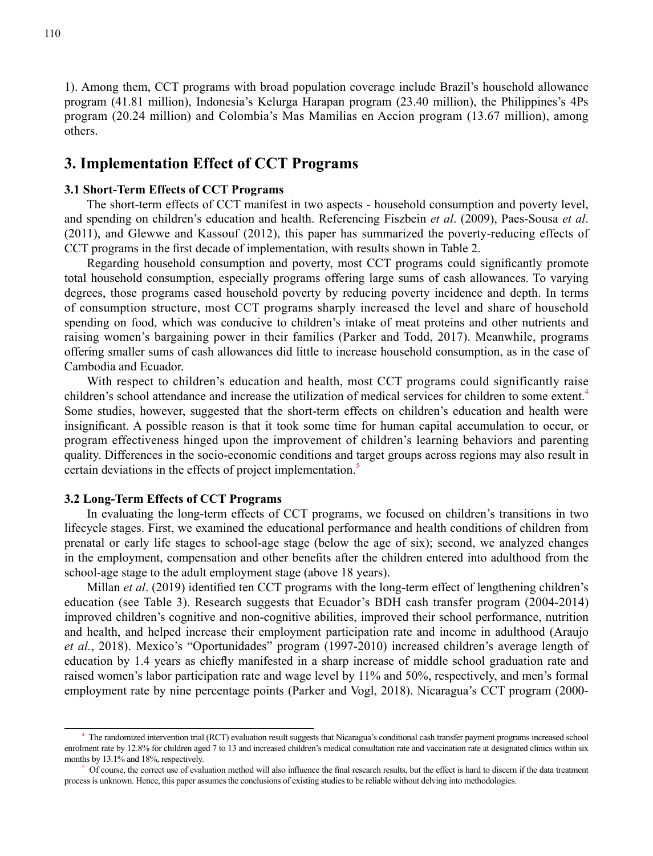1). Among them, CCT programs with broad population coverage include Brazil's household allowance program (41.81 million), Indonesia's Kelurga Harapan program (23.40 million), the Philippines's 4Ps program (20.24 million) and Colombia's Mas Mamilias en Accion program (13.67 million), among others.

# **3. Implementation Effect of CCT Programs**

#### **3.1 Short-Term Effects of CCT Programs**

The short-term effects of CCT manifest in two aspects - household consumption and poverty level, and spending on children's education and health. Referencing Fiszbein *et al*. (2009), Paes-Sousa *et al*. (2011), and Glewwe and Kassouf (2012), this paper has summarized the poverty-reducing effects of CCT programs in the first decade of implementation, with results shown in Table 2.

Regarding household consumption and poverty, most CCT programs could significantly promote total household consumption, especially programs offering large sums of cash allowances. To varying degrees, those programs eased household poverty by reducing poverty incidence and depth. In terms of consumption structure, most CCT programs sharply increased the level and share of household spending on food, which was conducive to children's intake of meat proteins and other nutrients and raising women's bargaining power in their families (Parker and Todd, 2017). Meanwhile, programs offering smaller sums of cash allowances did little to increase household consumption, as in the case of Cambodia and Ecuador.

With respect to children's education and health, most CCT programs could significantly raise children's school attendance and increase the utilization of medical services for children to some extent.<sup>4</sup> Some studies, however, suggested that the short-term effects on children's education and health were insignificant. A possible reason is that it took some time for human capital accumulation to occur, or program effectiveness hinged upon the improvement of children's learning behaviors and parenting quality. Differences in the socio-economic conditions and target groups across regions may also result in certain deviations in the effects of project implementation.<sup>5</sup>

#### **3.2 Long-Term Effects of CCT Programs**

In evaluating the long-term effects of CCT programs, we focused on children's transitions in two lifecycle stages. First, we examined the educational performance and health conditions of children from prenatal or early life stages to school-age stage (below the age of six); second, we analyzed changes in the employment, compensation and other benefits after the children entered into adulthood from the school-age stage to the adult employment stage (above 18 years).

Millan *et al*. (2019) identified ten CCT programs with the long-term effect of lengthening children's education (see Table 3). Research suggests that Ecuador's BDH cash transfer program (2004-2014) improved children's cognitive and non-cognitive abilities, improved their school performance, nutrition and health, and helped increase their employment participation rate and income in adulthood (Araujo *et al.*, 2018). Mexico's "Oportunidades" program (1997-2010) increased children's average length of education by 1.4 years as chiefly manifested in a sharp increase of middle school graduation rate and raised women's labor participation rate and wage level by 11% and 50%, respectively, and men's formal employment rate by nine percentage points (Parker and Vogl, 2018). Nicaragua's CCT program (2000-

<sup>4</sup> The randomized intervention trial (RCT) evaluation result suggests that Nicaragua's conditional cash transfer payment programs increased school enrolment rate by 12.8% for children aged 7 to 13 and increased children's medical consultation rate and vaccination rate at designated clinics within six months by 13.1% and 18%, respectively.

<sup>5</sup> Of course, the correct use of evaluation method will also influence the final research results, but the effect is hard to discern if the data treatment process is unknown. Hence, this paper assumes the conclusions of existing studies to be reliable without delving into methodologies.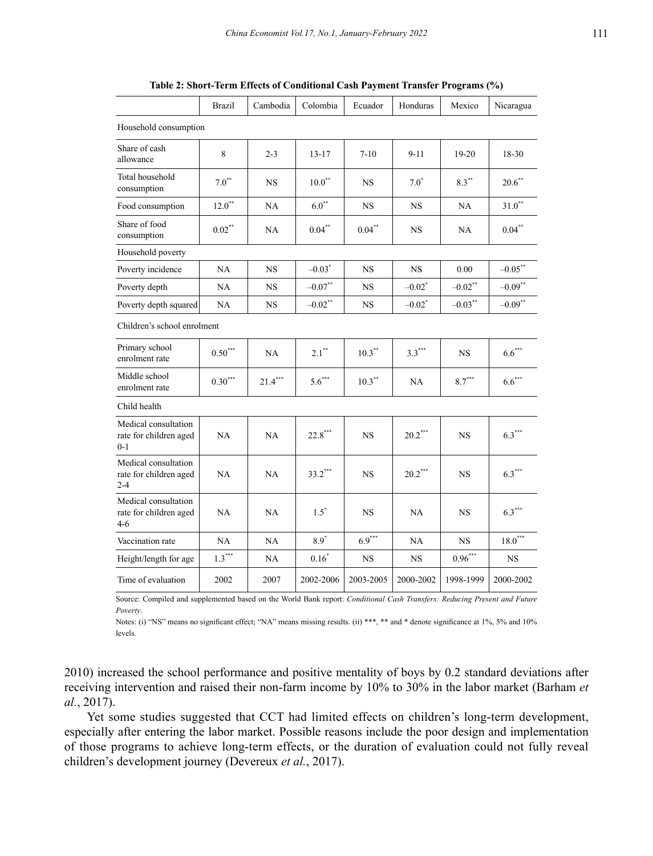| Table 2: Short-Term Effects of Conditional Cash Payment Transfer Programs (%) |  |  |
|-------------------------------------------------------------------------------|--|--|
|-------------------------------------------------------------------------------|--|--|

|                                                           | <b>Brazil</b> | Cambodia  | Colombia            | Ecuador   | Honduras             | Mexico          | Nicaragua  |
|-----------------------------------------------------------|---------------|-----------|---------------------|-----------|----------------------|-----------------|------------|
| Household consumption                                     |               |           |                     |           |                      |                 |            |
| Share of cash<br>allowance                                | 8             | $2 - 3$   | $13 - 17$           | $7 - 10$  | $9 - 11$             | $19-20$         | 18-30      |
| Total household<br>consumption                            | $7.0^{**}$    | <b>NS</b> | $10.0^{**}$         | <b>NS</b> | $7.0^{\degree}$      | $8.3***$        | $20.6***$  |
| Food consumption                                          | $12.0**$      | NA        | $6.0^{**}$          | <b>NS</b> | <b>NS</b>            | NA              | $31.0**$   |
| Share of food<br>consumption                              | $0.02**$      | NA        | $0.04***$           | $0.04***$ | <b>NS</b>            | NA              | $0.04***$  |
| Household poverty                                         |               |           |                     |           |                      |                 |            |
| Poverty incidence                                         | NA            | <b>NS</b> | $-0.03^*$           | <b>NS</b> | <b>NS</b>            | 0.00            | $-0.05$ ** |
| Poverty depth                                             | NA            | <b>NS</b> | $-0.07***$          | <b>NS</b> | $-0.02$ <sup>*</sup> | $-0.02\sp{*}^*$ | $-0.09$ ** |
| Poverty depth squared                                     | NA            | <b>NS</b> | $-0.02$ **          | NS        | $-0.02$ <sup>*</sup> | $-0.03***$      | $-0.09**$  |
| Children's school enrolment                               |               |           |                     |           |                      |                 |            |
| Primary school<br>enrolment rate                          | $0.50***$     | NA        | $2.1$ <sup>**</sup> | $10.3$ ** | $3.3***$             | <b>NS</b>       | $6.6***$   |
| Middle school<br>enrolment rate                           | $0.30***$     | $21.4***$ | $5.6***$            | $10.3***$ | <b>NA</b>            | $8.7***$        | $6.6***$   |
| Child health                                              |               |           |                     |           |                      |                 |            |
| Medical consultation<br>rate for children aged<br>$0 - 1$ | NA            | NA        | $22.8***$           | <b>NS</b> | $20.2***$            | NS              | $6.3***$   |
| Medical consultation<br>rate for children aged<br>$2 - 4$ | <b>NA</b>     | NA        | $33.2***$           | <b>NS</b> | $20.2***$            | <b>NS</b>       | $6.3***$   |
| Medical consultation<br>rate for children aged<br>$4-6$   | NA            | NA        | $1.5^*$             | <b>NS</b> | NA                   | <b>NS</b>       | $6.3***$   |
| Vaccination rate                                          | <b>NA</b>     | NA        | $8.9*$              | $6.9***$  | NA                   | <b>NS</b>       | $18.0***$  |
| Height/length for age                                     | $1.3***$      | NA        | $0.16*$             | NS        | <b>NS</b>            | $0.96***$       | <b>NS</b>  |
| Time of evaluation                                        | 2002          | 2007      | 2002-2006           | 2003-2005 | 2000-2002            | 1998-1999       | 2000-2002  |

Source: Compiled and supplemented based on the World Bank report: *Conditional Cash Transfers: Reducing Present and Future Poverty*.

Notes: (i) "NS" means no significant effect; "NA" means missing results. (ii) \*\*\*, \*\* and \* denote significance at 1%, 5% and 10% levels.

2010) increased the school performance and positive mentality of boys by 0.2 standard deviations after receiving intervention and raised their non-farm income by 10% to 30% in the labor market (Barham *et al.*, 2017).

Yet some studies suggested that CCT had limited effects on children's long-term development, especially after entering the labor market. Possible reasons include the poor design and implementation of those programs to achieve long-term effects, or the duration of evaluation could not fully reveal children's development journey (Devereux *et al.*, 2017).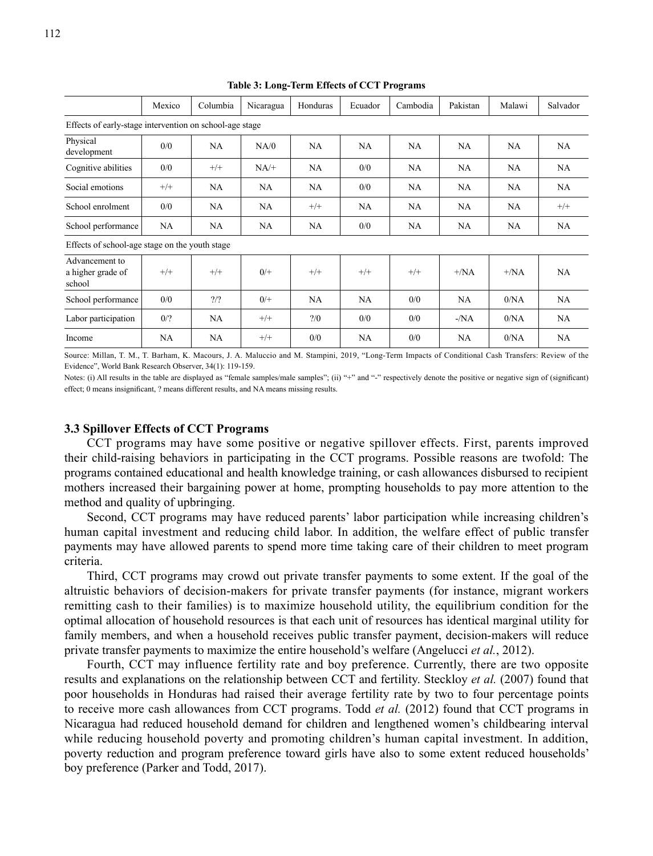|                                                | Mexico                                                  | Columbia      | Nicaragua | Honduras | Ecuador   | Cambodia | Pakistan      | Malawi        | Salvador  |
|------------------------------------------------|---------------------------------------------------------|---------------|-----------|----------|-----------|----------|---------------|---------------|-----------|
|                                                | Effects of early-stage intervention on school-age stage |               |           |          |           |          |               |               |           |
| Physical<br>development                        | 0/0                                                     | NA            | NA/0      | NA       | NA        | NA       | NA            | NA            | NA        |
| Cognitive abilities                            | 0/0                                                     | $^{+/+}$      | $NA/+$    | NA       | 0/0       | NA       | NA            | NA            | NA        |
| Social emotions                                | $^{+/+}$                                                | NA            | NA        | NA       | 0/0       | NA       | NA            | <b>NA</b>     | NA        |
| School enrolment                               | 0/0                                                     | NA            | NA        | $^{+/+}$ | <b>NA</b> | NA       | NA            | NA            | $+/+$     |
| School performance                             | NA                                                      | NA            | NA        | NA       | 0/0       | NA       | NA            | NA            | NA        |
| Effects of school-age stage on the youth stage |                                                         |               |           |          |           |          |               |               |           |
| Advancement to<br>a higher grade of<br>school  | $+/+$                                                   | $^{+/+}$      | $0/+$     | $+/+$    | $+/+$     | $+/+$    | $+/\text{NA}$ | $+/\text{NA}$ | <b>NA</b> |
| School performance                             | 0/0                                                     | $\frac{2}{2}$ | $0^{+}$   | NA       | <b>NA</b> | 0/0      | NA            | 0/NA          | NA        |
| Labor participation                            | 0/2                                                     | NA            | $+/+$     | 2/0      | 0/0       | 0/0      | $-NA$         | 0/NA          | <b>NA</b> |
| Income                                         | NA                                                      | NA            | $+/+$     | 0/0      | NA        | 0/0      | NA            | 0/NA          | NA        |

**Table 3: Long-Term Effects of CCT Programs**

Source: Millan, T. M., T. Barham, K. Macours, J. A. Maluccio and M. Stampini, 2019, "Long-Term Impacts of Conditional Cash Transfers: Review of the Evidence", World Bank Research Observer, 34(1): 119-159.

Notes: (i) All results in the table are displayed as "female samples/male samples"; (ii) "+" and "-" respectively denote the positive or negative sign of (significant) effect; 0 means insignificant, ? means different results, and NA means missing results.

### **3.3 Spillover Effects of CCT Programs**

CCT programs may have some positive or negative spillover effects. First, parents improved their child-raising behaviors in participating in the CCT programs. Possible reasons are twofold: The programs contained educational and health knowledge training, or cash allowances disbursed to recipient mothers increased their bargaining power at home, prompting households to pay more attention to the method and quality of upbringing.

Second, CCT programs may have reduced parents' labor participation while increasing children's human capital investment and reducing child labor. In addition, the welfare effect of public transfer payments may have allowed parents to spend more time taking care of their children to meet program criteria.

Third, CCT programs may crowd out private transfer payments to some extent. If the goal of the altruistic behaviors of decision-makers for private transfer payments (for instance, migrant workers remitting cash to their families) is to maximize household utility, the equilibrium condition for the optimal allocation of household resources is that each unit of resources has identical marginal utility for family members, and when a household receives public transfer payment, decision-makers will reduce private transfer payments to maximize the entire household's welfare (Angelucci *et al.*, 2012).

Fourth, CCT may influence fertility rate and boy preference. Currently, there are two opposite results and explanations on the relationship between CCT and fertility. Steckloy *et al.* (2007) found that poor households in Honduras had raised their average fertility rate by two to four percentage points to receive more cash allowances from CCT programs. Todd *et al.* (2012) found that CCT programs in Nicaragua had reduced household demand for children and lengthened women's childbearing interval while reducing household poverty and promoting children's human capital investment. In addition, poverty reduction and program preference toward girls have also to some extent reduced households' boy preference (Parker and Todd, 2017).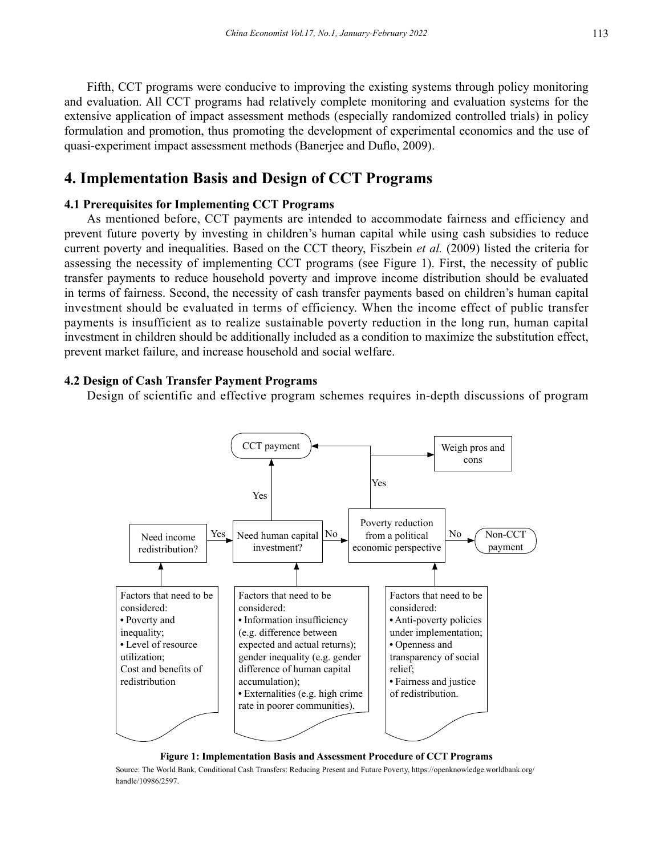Fifth, CCT programs were conducive to improving the existing systems through policy monitoring and evaluation. All CCT programs had relatively complete monitoring and evaluation systems for the extensive application of impact assessment methods (especially randomized controlled trials) in policy formulation and promotion, thus promoting the development of experimental economics and the use of quasi-experiment impact assessment methods (Banerjee and Duflo, 2009).

# **4. Implementation Basis and Design of CCT Programs**

### **4.1 Prerequisites for Implementing CCT Programs**

As mentioned before, CCT payments are intended to accommodate fairness and efficiency and prevent future poverty by investing in children's human capital while using cash subsidies to reduce current poverty and inequalities. Based on the CCT theory, Fiszbein *et al.* (2009) listed the criteria for assessing the necessity of implementing CCT programs (see Figure 1). First, the necessity of public transfer payments to reduce household poverty and improve income distribution should be evaluated in terms of fairness. Second, the necessity of cash transfer payments based on children's human capital investment should be evaluated in terms of efficiency. When the income effect of public transfer payments is insufficient as to realize sustainable poverty reduction in the long run, human capital investment in children should be additionally included as a condition to maximize the substitution effect, prevent market failure, and increase household and social welfare.

### **4.2 Design of Cash Transfer Payment Programs**

Design of scientific and effective program schemes requires in-depth discussions of program



#### **Figure 1: Implementation Basis and Assessment Procedure of CCT Programs**

Source: The World Bank, Conditional Cash Transfers: Reducing Present and Future Poverty, https://openknowledge.worldbank.org/ handle/10986/2597.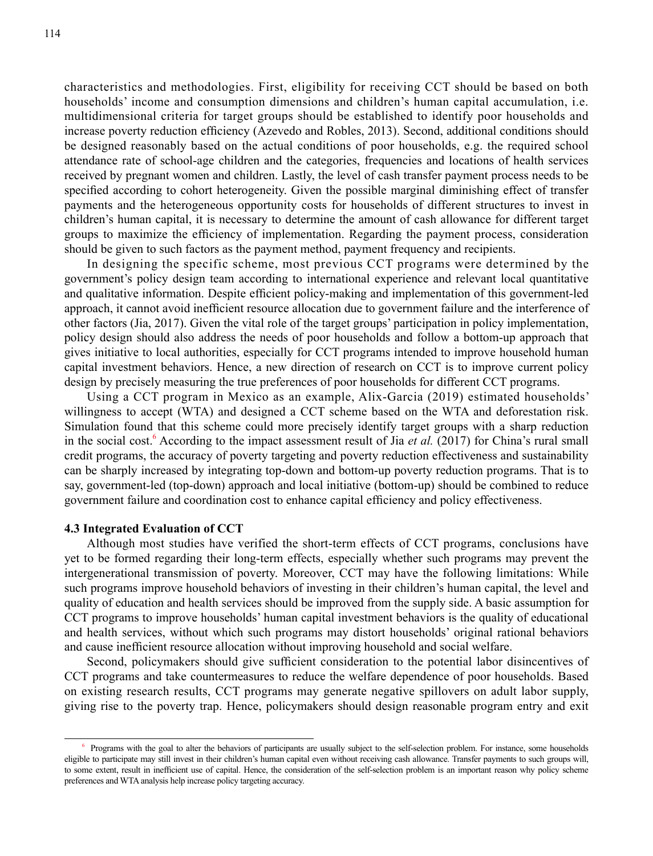characteristics and methodologies. First, eligibility for receiving CCT should be based on both households' income and consumption dimensions and children's human capital accumulation, i.e. multidimensional criteria for target groups should be established to identify poor households and increase poverty reduction efficiency (Azevedo and Robles, 2013). Second, additional conditions should be designed reasonably based on the actual conditions of poor households, e.g. the required school attendance rate of school-age children and the categories, frequencies and locations of health services received by pregnant women and children. Lastly, the level of cash transfer payment process needs to be specified according to cohort heterogeneity. Given the possible marginal diminishing effect of transfer payments and the heterogeneous opportunity costs for households of different structures to invest in children's human capital, it is necessary to determine the amount of cash allowance for different target groups to maximize the efficiency of implementation. Regarding the payment process, consideration should be given to such factors as the payment method, payment frequency and recipients.

In designing the specific scheme, most previous CCT programs were determined by the government's policy design team according to international experience and relevant local quantitative and qualitative information. Despite efficient policy-making and implementation of this government-led approach, it cannot avoid inefficient resource allocation due to government failure and the interference of other factors (Jia, 2017). Given the vital role of the target groups' participation in policy implementation, policy design should also address the needs of poor households and follow a bottom-up approach that gives initiative to local authorities, especially for CCT programs intended to improve household human capital investment behaviors. Hence, a new direction of research on CCT is to improve current policy design by precisely measuring the true preferences of poor households for different CCT programs.

Using a CCT program in Mexico as an example, Alix-Garcia (2019) estimated households' willingness to accept (WTA) and designed a CCT scheme based on the WTA and deforestation risk. Simulation found that this scheme could more precisely identify target groups with a sharp reduction in the social cost.<sup>6</sup> According to the impact assessment result of Jia *et al.* (2017) for China's rural small credit programs, the accuracy of poverty targeting and poverty reduction effectiveness and sustainability can be sharply increased by integrating top-down and bottom-up poverty reduction programs. That is to say, government-led (top-down) approach and local initiative (bottom-up) should be combined to reduce government failure and coordination cost to enhance capital efficiency and policy effectiveness.

#### **4.3 Integrated Evaluation of CCT**

Although most studies have verified the short-term effects of CCT programs, conclusions have yet to be formed regarding their long-term effects, especially whether such programs may prevent the intergenerational transmission of poverty. Moreover, CCT may have the following limitations: While such programs improve household behaviors of investing in their children's human capital, the level and quality of education and health services should be improved from the supply side. A basic assumption for CCT programs to improve households' human capital investment behaviors is the quality of educational and health services, without which such programs may distort households' original rational behaviors and cause inefficient resource allocation without improving household and social welfare.

Second, policymakers should give sufficient consideration to the potential labor disincentives of CCT programs and take countermeasures to reduce the welfare dependence of poor households. Based on existing research results, CCT programs may generate negative spillovers on adult labor supply, giving rise to the poverty trap. Hence, policymakers should design reasonable program entry and exit

<sup>6</sup> Programs with the goal to alter the behaviors of participants are usually subject to the self-selection problem. For instance, some households eligible to participate may still invest in their children's human capital even without receiving cash allowance. Transfer payments to such groups will, to some extent, result in inefficient use of capital. Hence, the consideration of the self-selection problem is an important reason why policy scheme preferences and WTA analysis help increase policy targeting accuracy.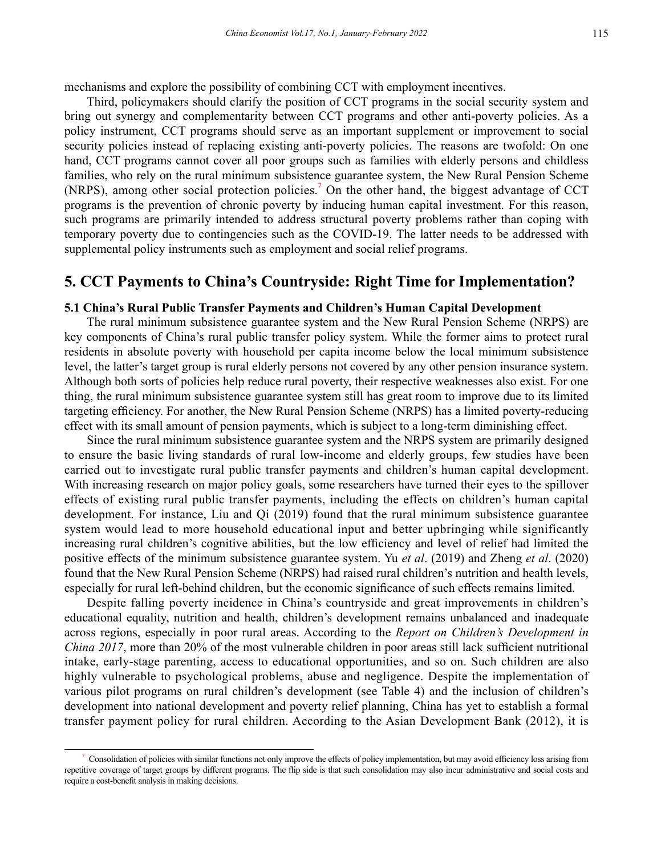mechanisms and explore the possibility of combining CCT with employment incentives.

Third, policymakers should clarify the position of CCT programs in the social security system and bring out synergy and complementarity between CCT programs and other anti-poverty policies. As a policy instrument, CCT programs should serve as an important supplement or improvement to social security policies instead of replacing existing anti-poverty policies. The reasons are twofold: On one hand, CCT programs cannot cover all poor groups such as families with elderly persons and childless families, who rely on the rural minimum subsistence guarantee system, the New Rural Pension Scheme (NRPS), among other social protection policies.<sup>7</sup> On the other hand, the biggest advantage of CCT programs is the prevention of chronic poverty by inducing human capital investment. For this reason, such programs are primarily intended to address structural poverty problems rather than coping with temporary poverty due to contingencies such as the COVID-19. The latter needs to be addressed with supplemental policy instruments such as employment and social relief programs.

# **5. CCT Payments to China's Countryside: Right Time for Implementation?**

### **5.1 China's Rural Public Transfer Payments and Children's Human Capital Development**

The rural minimum subsistence guarantee system and the New Rural Pension Scheme (NRPS) are key components of China's rural public transfer policy system. While the former aims to protect rural residents in absolute poverty with household per capita income below the local minimum subsistence level, the latter's target group is rural elderly persons not covered by any other pension insurance system. Although both sorts of policies help reduce rural poverty, their respective weaknesses also exist. For one thing, the rural minimum subsistence guarantee system still has great room to improve due to its limited targeting efficiency. For another, the New Rural Pension Scheme (NRPS) has a limited poverty-reducing effect with its small amount of pension payments, which is subject to a long-term diminishing effect.

Since the rural minimum subsistence guarantee system and the NRPS system are primarily designed to ensure the basic living standards of rural low-income and elderly groups, few studies have been carried out to investigate rural public transfer payments and children's human capital development. With increasing research on major policy goals, some researchers have turned their eyes to the spillover effects of existing rural public transfer payments, including the effects on children's human capital development. For instance, Liu and Qi (2019) found that the rural minimum subsistence guarantee system would lead to more household educational input and better upbringing while significantly increasing rural children's cognitive abilities, but the low efficiency and level of relief had limited the positive effects of the minimum subsistence guarantee system. Yu *et al*. (2019) and Zheng *et al*. (2020) found that the New Rural Pension Scheme (NRPS) had raised rural children's nutrition and health levels, especially for rural left-behind children, but the economic significance of such effects remains limited.

Despite falling poverty incidence in China's countryside and great improvements in children's educational equality, nutrition and health, children's development remains unbalanced and inadequate across regions, especially in poor rural areas. According to the *Report on Children's Development in China 2017*, more than 20% of the most vulnerable children in poor areas still lack sufficient nutritional intake, early-stage parenting, access to educational opportunities, and so on. Such children are also highly vulnerable to psychological problems, abuse and negligence. Despite the implementation of various pilot programs on rural children's development (see Table 4) and the inclusion of children's development into national development and poverty relief planning, China has yet to establish a formal transfer payment policy for rural children. According to the Asian Development Bank (2012), it is

<sup>7</sup> Consolidation of policies with similar functions not only improve the effects of policy implementation, but may avoid efficiency loss arising from repetitive coverage of target groups by different programs. The flip side is that such consolidation may also incur administrative and social costs and require a cost-benefit analysis in making decisions.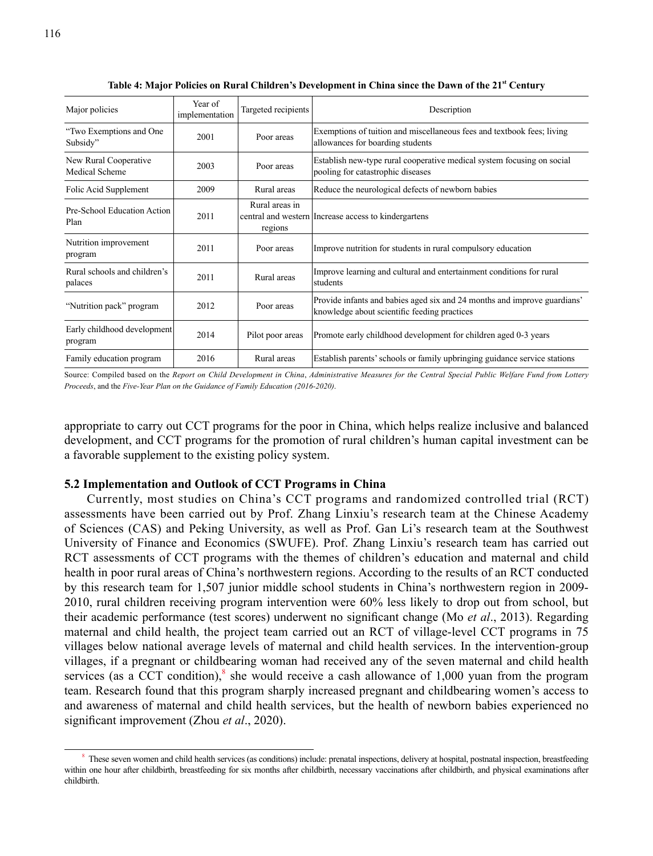| Major policies                          | Year of<br>implementation | Targeted recipients       | Description                                                                                                              |
|-----------------------------------------|---------------------------|---------------------------|--------------------------------------------------------------------------------------------------------------------------|
| "Two Exemptions and One<br>Subsidy"     | 2001                      | Poor areas                | Exemptions of tuition and miscellaneous fees and textbook fees; living<br>allowances for boarding students               |
| New Rural Cooperative<br>Medical Scheme | 2003                      | Poor areas                | Establish new-type rural cooperative medical system focusing on social<br>pooling for catastrophic diseases              |
| Folic Acid Supplement                   | 2009                      | Rural areas               | Reduce the neurological defects of newborn babies                                                                        |
| Pre-School Education Action<br>Plan     | 2011                      | Rural areas in<br>regions | central and western Increase access to kindergartens                                                                     |
| Nutrition improvement<br>program        | 2011                      | Poor areas                | Improve nutrition for students in rural compulsory education                                                             |
| Rural schools and children's<br>palaces | 2011                      | Rural areas               | Improve learning and cultural and entertainment conditions for rural<br>students                                         |
| "Nutrition pack" program                | 2012                      | Poor areas                | Provide infants and babies aged six and 24 months and improve guardians'<br>knowledge about scientific feeding practices |
| Early childhood development<br>program  | 2014                      | Pilot poor areas          | Promote early childhood development for children aged 0-3 years                                                          |
| Family education program                | 2016                      | Rural areas               | Establish parents' schools or family upbringing guidance service stations                                                |

Table 4: Major Policies on Rural Children's Development in China since the Dawn of the 21<sup>st</sup> Century

Source: Compiled based on the *Report on Child Development in China*, *Administrative Measures for the Central Special Public Welfare Fund from Lottery Proceeds*, and the *Five-Year Plan on the Guidance of Family Education (2016-2020)*.

appropriate to carry out CCT programs for the poor in China, which helps realize inclusive and balanced development, and CCT programs for the promotion of rural children's human capital investment can be a favorable supplement to the existing policy system.

# **5.2 Implementation and Outlook of CCT Programs in China**

Currently, most studies on China's CCT programs and randomized controlled trial (RCT) assessments have been carried out by Prof. Zhang Linxiu's research team at the Chinese Academy of Sciences (CAS) and Peking University, as well as Prof. Gan Li's research team at the Southwest University of Finance and Economics (SWUFE). Prof. Zhang Linxiu's research team has carried out RCT assessments of CCT programs with the themes of children's education and maternal and child health in poor rural areas of China's northwestern regions. According to the results of an RCT conducted by this research team for 1,507 junior middle school students in China's northwestern region in 2009- 2010, rural children receiving program intervention were 60% less likely to drop out from school, but their academic performance (test scores) underwent no significant change (Mo *et al*., 2013). Regarding maternal and child health, the project team carried out an RCT of village-level CCT programs in 75 villages below national average levels of maternal and child health services. In the intervention-group villages, if a pregnant or childbearing woman had received any of the seven maternal and child health services (as a CCT condition), $^8$  she would receive a cash allowance of 1,000 yuan from the program team. Research found that this program sharply increased pregnant and childbearing women's access to and awareness of maternal and child health services, but the health of newborn babies experienced no significant improvement (Zhou *et al*., 2020).

<sup>&</sup>lt;sup>8</sup> These seven women and child health services (as conditions) include: prenatal inspections, delivery at hospital, postnatal inspection, breastfeeding within one hour after childbirth, breastfeeding for six months after childbirth, necessary vaccinations after childbirth, and physical examinations after childbirth.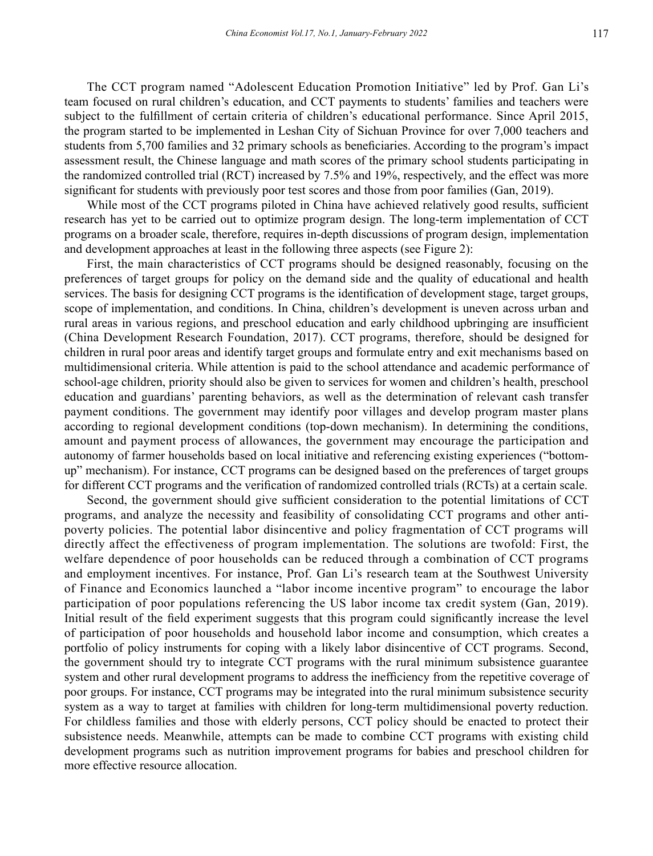The CCT program named "Adolescent Education Promotion Initiative" led by Prof. Gan Li's team focused on rural children's education, and CCT payments to students' families and teachers were subject to the fulfillment of certain criteria of children's educational performance. Since April 2015, the program started to be implemented in Leshan City of Sichuan Province for over 7,000 teachers and students from 5,700 families and 32 primary schools as beneficiaries. According to the program's impact assessment result, the Chinese language and math scores of the primary school students participating in the randomized controlled trial (RCT) increased by 7.5% and 19%, respectively, and the effect was more significant for students with previously poor test scores and those from poor families (Gan, 2019).

While most of the CCT programs piloted in China have achieved relatively good results, sufficient research has yet to be carried out to optimize program design. The long-term implementation of CCT programs on a broader scale, therefore, requires in-depth discussions of program design, implementation and development approaches at least in the following three aspects (see Figure 2):

First, the main characteristics of CCT programs should be designed reasonably, focusing on the preferences of target groups for policy on the demand side and the quality of educational and health services. The basis for designing CCT programs is the identification of development stage, target groups, scope of implementation, and conditions. In China, children's development is uneven across urban and rural areas in various regions, and preschool education and early childhood upbringing are insufficient (China Development Research Foundation, 2017). CCT programs, therefore, should be designed for children in rural poor areas and identify target groups and formulate entry and exit mechanisms based on multidimensional criteria. While attention is paid to the school attendance and academic performance of school-age children, priority should also be given to services for women and children's health, preschool education and guardians' parenting behaviors, as well as the determination of relevant cash transfer payment conditions. The government may identify poor villages and develop program master plans according to regional development conditions (top-down mechanism). In determining the conditions, amount and payment process of allowances, the government may encourage the participation and autonomy of farmer households based on local initiative and referencing existing experiences ("bottomup" mechanism). For instance, CCT programs can be designed based on the preferences of target groups for different CCT programs and the verification of randomized controlled trials (RCTs) at a certain scale.

Second, the government should give sufficient consideration to the potential limitations of CCT programs, and analyze the necessity and feasibility of consolidating CCT programs and other antipoverty policies. The potential labor disincentive and policy fragmentation of CCT programs will directly affect the effectiveness of program implementation. The solutions are twofold: First, the welfare dependence of poor households can be reduced through a combination of CCT programs and employment incentives. For instance, Prof. Gan Li's research team at the Southwest University of Finance and Economics launched a "labor income incentive program" to encourage the labor participation of poor populations referencing the US labor income tax credit system (Gan, 2019). Initial result of the field experiment suggests that this program could significantly increase the level of participation of poor households and household labor income and consumption, which creates a portfolio of policy instruments for coping with a likely labor disincentive of CCT programs. Second, the government should try to integrate CCT programs with the rural minimum subsistence guarantee system and other rural development programs to address the inefficiency from the repetitive coverage of poor groups. For instance, CCT programs may be integrated into the rural minimum subsistence security system as a way to target at families with children for long-term multidimensional poverty reduction. For childless families and those with elderly persons, CCT policy should be enacted to protect their subsistence needs. Meanwhile, attempts can be made to combine CCT programs with existing child development programs such as nutrition improvement programs for babies and preschool children for more effective resource allocation.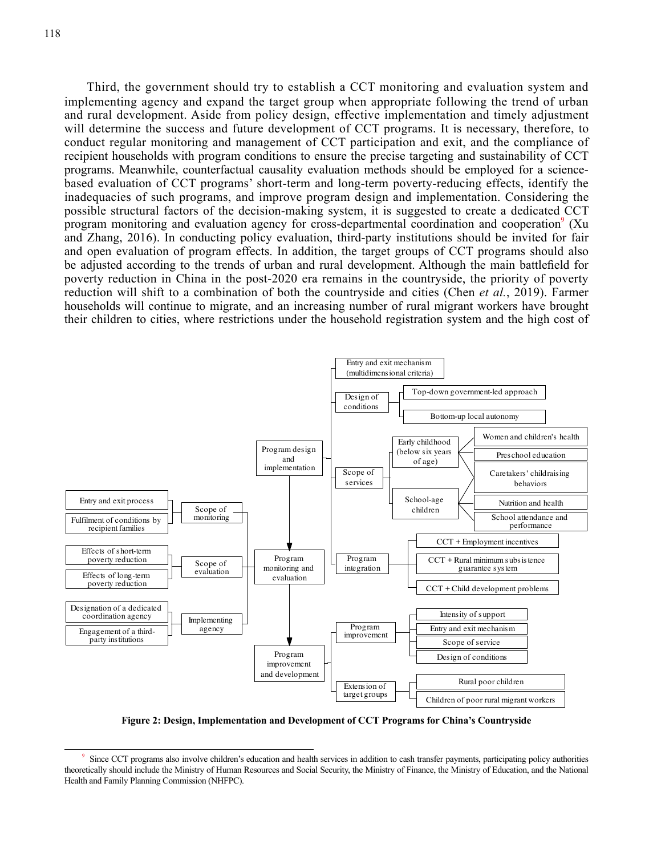Third, the government should try to establish a CCT monitoring and evaluation system and implementing agency and expand the target group when appropriate following the trend of urban and rural development. Aside from policy design, effective implementation and timely adjustment will determine the success and future development of CCT programs. It is necessary, therefore, to conduct regular monitoring and management of CCT participation and exit, and the compliance of recipient households with program conditions to ensure the precise targeting and sustainability of CCT programs. Meanwhile, counterfactual causality evaluation methods should be employed for a sciencebased evaluation of CCT programs' short-term and long-term poverty-reducing effects, identify the inadequacies of such programs, and improve program design and implementation. Considering the possible structural factors of the decision-making system, it is suggested to create a dedicated CCT program monitoring and evaluation agency for cross-departmental coordination and cooperation<sup>9</sup> (Xu and Zhang, 2016). In conducting policy evaluation, third-party institutions should be invited for fair and open evaluation of program effects. In addition, the target groups of CCT programs should also be adjusted according to the trends of urban and rural development. Although the main battlefield for poverty reduction in China in the post-2020 era remains in the countryside, the priority of poverty reduction will shift to a combination of both the countryside and cities (Chen *et al.*, 2019). Farmer households will continue to migrate, and an increasing number of rural migrant workers have brought their children to cities, where restrictions under the household registration system and the high cost of



**Figure 2: Design, Implementation and Development of CCT Programs for China's Countryside**

Since CCT programs also involve children's education and health services in addition to cash transfer payments, participating policy authorities theoretically should include the Ministry of Human Resources and Social Security, the Ministry of Finance, the Ministry of Education, and the National Health and Family Planning Commission (NHFPC).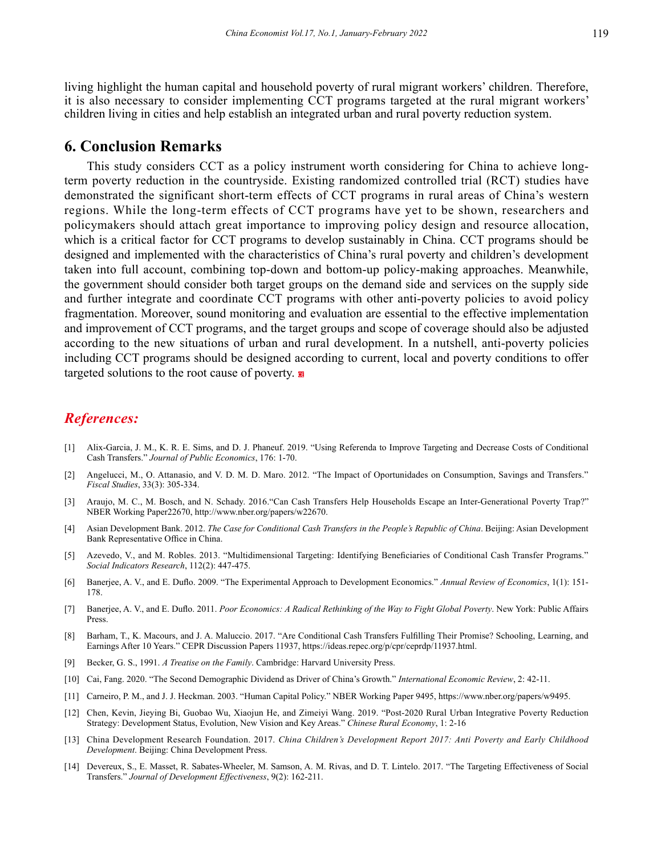living highlight the human capital and household poverty of rural migrant workers' children. Therefore, it is also necessary to consider implementing CCT programs targeted at the rural migrant workers' children living in cities and help establish an integrated urban and rural poverty reduction system.

### **6. Conclusion Remarks**

This study considers CCT as a policy instrument worth considering for China to achieve longterm poverty reduction in the countryside. Existing randomized controlled trial (RCT) studies have demonstrated the significant short-term effects of CCT programs in rural areas of China's western regions. While the long-term effects of CCT programs have yet to be shown, researchers and policymakers should attach great importance to improving policy design and resource allocation, which is a critical factor for CCT programs to develop sustainably in China. CCT programs should be designed and implemented with the characteristics of China's rural poverty and children's development taken into full account, combining top-down and bottom-up policy-making approaches. Meanwhile, the government should consider both target groups on the demand side and services on the supply side and further integrate and coordinate CCT programs with other anti-poverty policies to avoid policy fragmentation. Moreover, sound monitoring and evaluation are essential to the effective implementation and improvement of CCT programs, and the target groups and scope of coverage should also be adjusted according to the new situations of urban and rural development. In a nutshell, anti-poverty policies including CCT programs should be designed according to current, local and poverty conditions to offer targeted solutions to the root cause of poverty.

### *References:*

- [1] Alix-Garcia, J. M., K. R. E. Sims, and D. J. Phaneuf. 2019. "Using Referenda to Improve Targeting and Decrease Costs of Conditional Cash Transfers." *Journal of Public Economics*, 176: 1-70.
- [2] Angelucci, M., O. Attanasio, and V. D. M. D. Maro. 2012. "The Impact of Oportunidades on Consumption, Savings and Transfers." *Fiscal Studies*, 33(3): 305-334.
- [3] Araujo, M. C., M. Bosch, and N. Schady. 2016."Can Cash Transfers Help Households Escape an Inter-Generational Poverty Trap?" NBER Working Paper22670, http://www.nber.org/papers/w22670.
- [4] Asian Development Bank. 2012. *The Case for Conditional Cash Transfers in the People's Republic of China*. Beijing: Asian Development Bank Representative Office in China.
- [5] Azevedo, V., and M. Robles. 2013. "Multidimensional Targeting: Identifying Beneficiaries of Conditional Cash Transfer Programs." *Social Indicators Research*, 112(2): 447-475.
- [6] Banerjee, A. V., and E. Duflo. 2009. "The Experimental Approach to Development Economics." *Annual Review of Economics*, 1(1): 151- 178.
- [7] Banerjee, A. V., and E. Duflo. 2011. *Poor Economics: A Radical Rethinking of the Way to Fight Global Poverty*. New York: Public Affairs Press.
- [8] Barham, T., K. Macours, and J. A. Maluccio. 2017. "Are Conditional Cash Transfers Fulfilling Their Promise? Schooling, Learning, and Earnings After 10 Years." CEPR Discussion Papers 11937, https://ideas.repec.org/p/cpr/ceprdp/11937.html.
- [9] Becker, G. S., 1991. *A Treatise on the Family*. Cambridge: Harvard University Press.
- [10] Cai, Fang. 2020. "The Second Demographic Dividend as Driver of China's Growth." *International Economic Review*, 2: 42-11.
- [11] Carneiro, P. M., and J. J. Heckman. 2003. "Human Capital Policy." NBER Working Paper 9495, https://www.nber.org/papers/w9495.
- [12] Chen, Kevin, Jieying Bi, Guobao Wu, Xiaojun He, and Zimeiyi Wang. 2019. "Post-2020 Rural Urban Integrative Poverty Reduction Strategy: Development Status, Evolution, New Vision and Key Areas." *Chinese Rural Economy*, 1: 2-16
- [13] China Development Research Foundation. 2017. *China Children's Development Report 2017: Anti Poverty and Early Childhood Development*. Beijing: China Development Press.
- [14] Devereux, S., E. Masset, R. Sabates-Wheeler, M. Samson, A. M. Rivas, and D. T. Lintelo. 2017. "The Targeting Effectiveness of Social Transfers." *Journal of Development Effectiveness*, 9(2): 162-211.